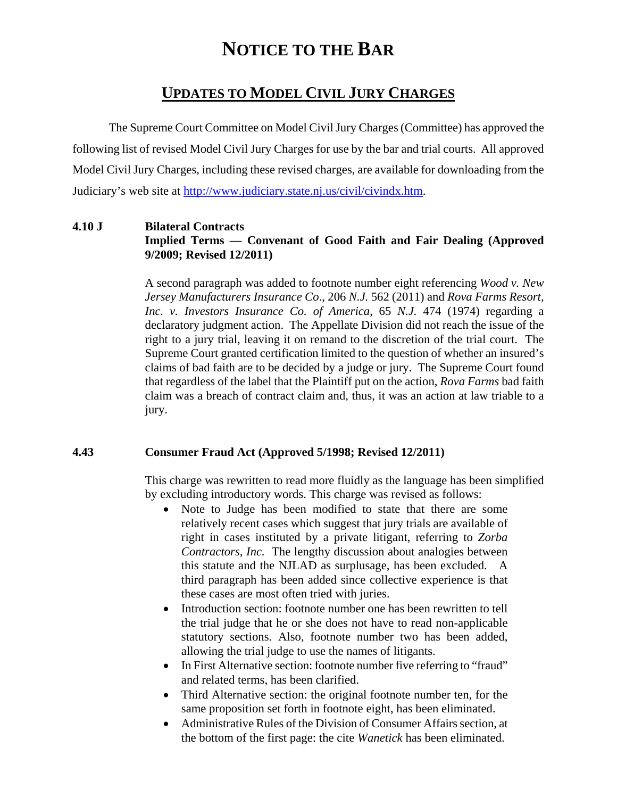# **NOTICE TO THE BAR**

# **UPDATES TO MODEL CIVIL JURY CHARGES**

 The Supreme Court Committee on Model Civil Jury Charges (Committee) has approved the following list of revised Model Civil Jury Charges for use by the bar and trial courts. All approved Model Civil Jury Charges, including these revised charges, are available for downloading from the Judiciary's web site at [http://www.judiciary.state.nj.us/civil/civindx.htm.](http://www.judiciary.state.nj.us/civil/civindx.html)

#### **4.10 J Bilateral Contracts Implied Terms — Convenant of Good Faith and Fair Dealing (Approved 9/2009; Revised 12/2011)**

A second paragraph was added to footnote number eight referencing *Wood v. New Jersey Manufacturers Insurance Co*., 206 *N.J.* 562 (2011) and *Rova Farms Resort, Inc. v. Investors Insurance Co. of America*, 65 *N.J.* 474 (1974) regarding a declaratory judgment action. The Appellate Division did not reach the issue of the right to a jury trial, leaving it on remand to the discretion of the trial court. The Supreme Court granted certification limited to the question of whether an insured's claims of bad faith are to be decided by a judge or jury. The Supreme Court found that regardless of the label that the Plaintiff put on the action, *Rova Farms* bad faith claim was a breach of contract claim and, thus, it was an action at law triable to a jury.

#### **4.43 Consumer Fraud Act (Approved 5/1998; Revised 12/2011)**

This charge was rewritten to read more fluidly as the language has been simplified by excluding introductory words. This charge was revised as follows:

- Note to Judge has been modified to state that there are some relatively recent cases which suggest that jury trials are available of right in cases instituted by a private litigant, referring to *Zorba Contractors, Inc.* The lengthy discussion about analogies between this statute and the NJLAD as surplusage, has been excluded. A third paragraph has been added since collective experience is that these cases are most often tried with juries.
- Introduction section: footnote number one has been rewritten to tell the trial judge that he or she does not have to read non-applicable statutory sections. Also, footnote number two has been added, allowing the trial judge to use the names of litigants.
- In First Alternative section: footnote number five referring to "fraud" and related terms, has been clarified.
- Third Alternative section: the original footnote number ten, for the same proposition set forth in footnote eight, has been eliminated.
- Administrative Rules of the Division of Consumer Affairs section, at the bottom of the first page: the cite *Wanetick* has been eliminated.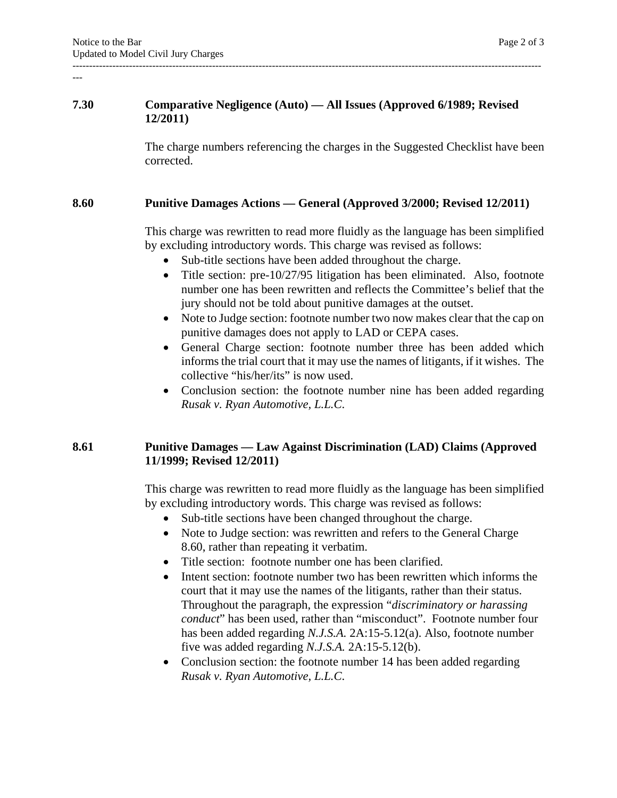#### **7.30 Comparative Negligence (Auto) — All Issues (Approved 6/1989; Revised 12/2011)**

The charge numbers referencing the charges in the Suggested Checklist have been corrected.

#### **8.60 Punitive Damages Actions — General (Approved 3/2000; Revised 12/2011)**

This charge was rewritten to read more fluidly as the language has been simplified by excluding introductory words. This charge was revised as follows:

- Sub-title sections have been added throughout the charge.
- Title section: pre-10/27/95 litigation has been eliminated. Also, footnote number one has been rewritten and reflects the Committee's belief that the jury should not be told about punitive damages at the outset.
- Note to Judge section: footnote number two now makes clear that the cap on punitive damages does not apply to LAD or CEPA cases.
- General Charge section: footnote number three has been added which informs the trial court that it may use the names of litigants, if it wishes. The collective "his/her/its" is now used.
- Conclusion section: the footnote number nine has been added regarding *Rusak v. Ryan Automotive, L.L.C*.

#### **8.61 Punitive Damages — Law Against Discrimination (LAD) Claims (Approved 11/1999; Revised 12/2011)**

This charge was rewritten to read more fluidly as the language has been simplified by excluding introductory words. This charge was revised as follows:

- Sub-title sections have been changed throughout the charge.
- Note to Judge section: was rewritten and refers to the General Charge 8.60, rather than repeating it verbatim.
- Title section: footnote number one has been clarified.
- Intent section: footnote number two has been rewritten which informs the court that it may use the names of the litigants, rather than their status. Throughout the paragraph, the expression "*discriminatory or harassing conduct*" has been used, rather than "misconduct". Footnote number four has been added regarding *N.J.S.A.* 2A:15-5.12(a). Also, footnote number five was added regarding *N.J.S.A.* 2A:15-5.12(b).
- Conclusion section: the footnote number 14 has been added regarding *Rusak v. Ryan Automotive, L.L.C*.